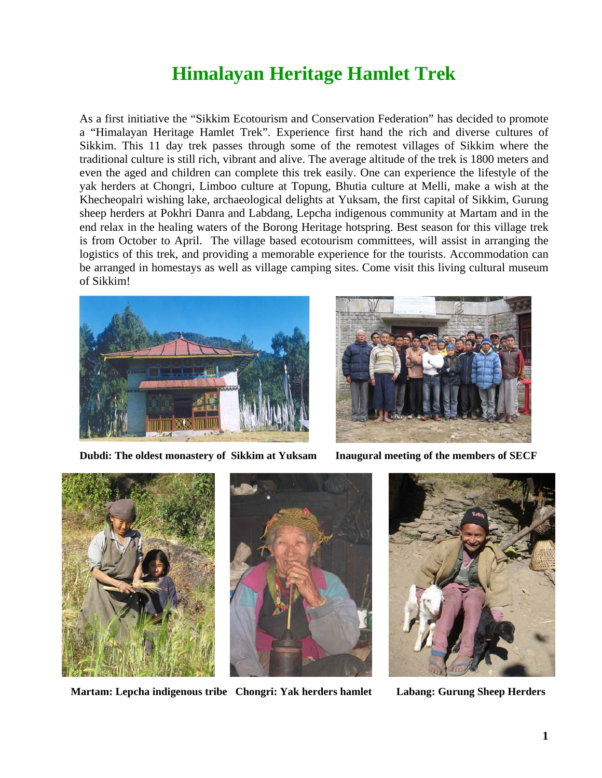## **Himalayan Heritage Hamlet Trek**

As a first initiative the "Sikkim Ecotourism and Conservation Federation" has decided to promote a "Himalayan Heritage Hamlet Trek". Experience first hand the rich and diverse cultures of Sikkim. This 11 day trek passes through some of the remotest villages of Sikkim where the traditional culture is still rich, vibrant and alive. The average altitude of the trek is 1800 meters and even the aged and children can complete this trek easily. One can experience the lifestyle of the yak herders at Chongri, Limboo culture at Topung, Bhutia culture at Melli, make a wish at the Khecheopalri wishing lake, archaeological delights at Yuksam, the first capital of Sikkim, Gurung sheep herders at Pokhri Danra and Labdang, Lepcha indigenous community at Martam and in the end relax in the healing waters of the Borong Heritage hotspring. Best season for this village trek is from October to April. The village based ecotourism committees, will assist in arranging the logistics of this trek, and providing a memorable experience for the tourists. Accommodation can be arranged in homestays as well as village camping sites. Come visit this living cultural museum of Sikkim!



**Dubdi: The oldest monastery of Sikkim at Yuksam Inaugural meeting of the members of SECF**







**Martam: Lepcha indigenous tribe Chongri: Yak herders hamlet Labang: Gurung Sheep Herders**